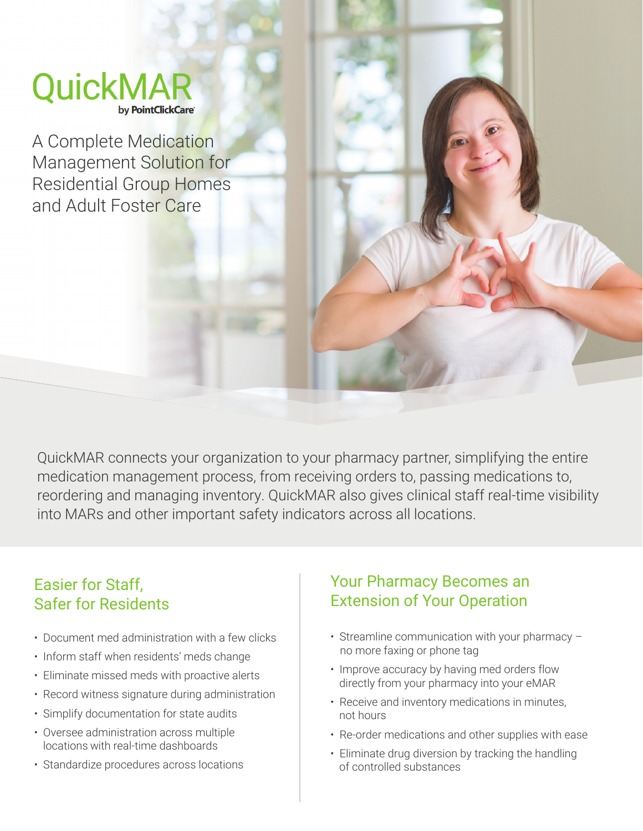# QuickMAI by PointClickCare®

A Complete Medication Management Solution for Residential Group Homes and Adult Foster Care

QuickMAR connects your organization to your pharmacy partner, simplifying the entire medication management process, from receiving orders to, passing medications to, reordering and managing inventory. QuickMAR also gives clinical staff real-time visibility into MARs and other important safety indicators across all locations.

#### Easier for Staff, Safer for Residents

- Document med administration with a few clicks
- Inform staff when residents' meds change
- Eliminate missed meds with proactive alerts
- Record witness signature during administration
- Simplify documentation for state audits
- Oversee administration across multiple locations with real-time dashboards
- Standardize procedures across locations

#### Your Pharmacy Becomes an Extension of Your Operation

- Streamline communication with your pharmacy no more faxing or phone tag
- Improve accuracy by having med orders flow directly from your pharmacy into your eMAR
- Receive and inventory medications in minutes, not hours
- Re-order medications and other supplies with ease
- Eliminate drug diversion by tracking the handling of controlled substances